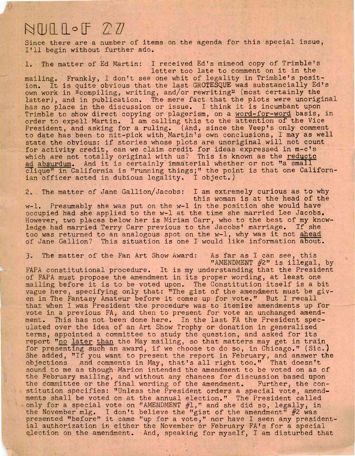## NOWf *Tin , :*

Since there are a number of items on the agenda for this special issue, I'll begin without further ado.

1. The matter of Ed Martin: <sup>I</sup> received Ed'<sup>s</sup> mimeod copy of Trimble'<sup>s</sup> letter too late to comment on it in the

mailing. Frankly, T don't see one whit of legality in Trimble's position. It is quite obvious that the last GROTESQUE was substancially Ed's own work in "compiling, writing, and/or rewriting" (most certainly the latter), and in publication. The mere fact that the plots were unoriginal has no place in the discussion or issue. I think it is incumbant upon Trimble to show direct copying or plagerism, on a word-for-word basis, in order to expell Martin. I am calling this to the attention of the Vice President, and asking for a ruling. (And, since the Veep'<sup>s</sup> only comment to date has.been to nit-pick with Martin's own conclusions, I may as well state the obvious: if stories whose plots are unoriginal will not count for activity credit, can we claim credit for ideas expressed in m-c'<sup>s</sup> which are not totally original with us? This is known as the <u>reducto</u> ad absurdum. And it is certainly immaterial whether or not "a small clique" in California is ''running things;" the point is that one Californian officer acted in dubious legality. I object.)

2. The matter of Jane Gallion/Jacobs: I am extremely curious as to why this woman is at the head of the w-1. Presumably she was put on the w-1 in the position she would have occupied had she applied to the w-1 at the time she married Lee Jacobs. However, two places below her is Miriam Carr, who to the best of my knowledge had married Terry Carr previous to the Jacobs' marriage. If she too was returned to an analogous spot on the w-1, why was it not ahead of Jane Gallion? This situation is one I would like information about.

3. The matter of the Fan Art Show Award: As far as I can see, this "AMENDMENT #2" is illegal, by FAPA constitutional procedure. It is my understanding that the President of FAPA must propose the amendment in its proper wording, at least one mailing before it is to be voted upon. The Constitution itself is a bit vague here, specifying only that: "The gist of the amendment must be given in The Fantasy Amateur before it comes up for vote." But I recall that when I.was President the procedure was to itemize amendments up for vote in a previous FA, and then to present for vote an unchanged amendment. This has not been done here. In the last FA the President speculated over the idea of an Art Show Trophy or donation in generalized terms, appointed a committee to study the question, and asked for its report "no later than the May mailing, so that matters may get in train for presenting such an award, if we choose to do so, in Chicago," (Sic.) She added, "If you want to present the report in February, and answer the objections .and comments in May, that'<sup>s</sup> all right too." That doesn't sound to me as though Marion intended the amendment to be voted on as of the February mailing, and without any chances for discussion based upon the dommittee or the final wording of the amendment. Further, the constitution specifies: "Unless the President orders a special vote, amendments shall be voted on at the annual election." The President called only for a special vote on "AMENDMENT  $#1,$ " and she did so, legally, in the November mlg. I don't believe the "gist of the amendment"  $#2$  was presented "before" it came "up for a vote," nor have I seen any presidential authorization in either the November dr February FA's for a special election on the amendment. And, speaking for myself, I am disturbed that